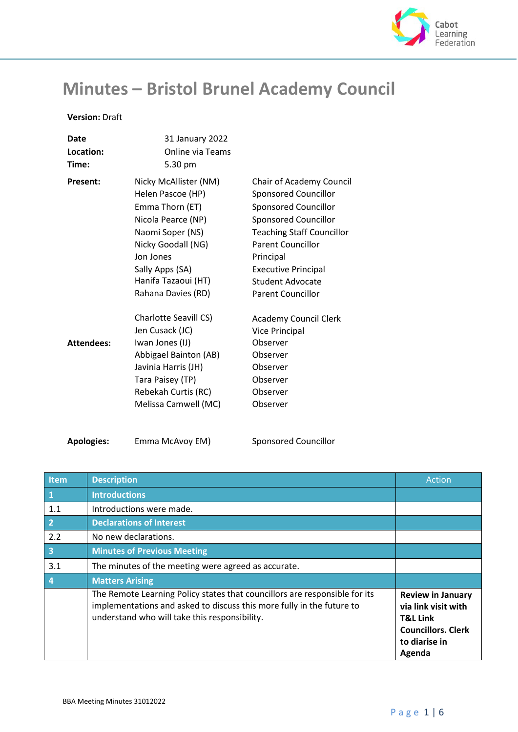

## **Minutes – Bristol Brunel Academy Council**

## **Version:** Draft

| Date               | 31 January 2022                                                                                                                                                                                            |                                                                                                                                                                                                                                                                           |
|--------------------|------------------------------------------------------------------------------------------------------------------------------------------------------------------------------------------------------------|---------------------------------------------------------------------------------------------------------------------------------------------------------------------------------------------------------------------------------------------------------------------------|
| Location:<br>Time: | <b>Online via Teams</b><br>5.30 pm                                                                                                                                                                         |                                                                                                                                                                                                                                                                           |
| <b>Present:</b>    | Nicky McAllister (NM)<br>Helen Pascoe (HP)<br>Emma Thorn (ET)<br>Nicola Pearce (NP)<br>Naomi Soper (NS)<br>Nicky Goodall (NG)<br>Jon Jones<br>Sally Apps (SA)<br>Hanifa Tazaoui (HT)<br>Rahana Davies (RD) | Chair of Academy Council<br><b>Sponsored Councillor</b><br>Sponsored Councillor<br><b>Sponsored Councillor</b><br><b>Teaching Staff Councillor</b><br><b>Parent Councillor</b><br>Principal<br><b>Executive Principal</b><br>Student Advocate<br><b>Parent Councillor</b> |
| <b>Attendees:</b>  | <b>Charlotte Seavill CS)</b><br>Jen Cusack (JC)<br>Iwan Jones (IJ)<br>Abbigael Bainton (AB)<br>Javinia Harris (JH)<br>Tara Paisey (TP)<br>Rebekah Curtis (RC)<br>Melissa Camwell (MC)                      | <b>Academy Council Clerk</b><br><b>Vice Principal</b><br>Observer<br>Observer<br>Observer<br>Observer<br>Observer<br>Observer                                                                                                                                             |

**Apologies:** Emma McAvoy EM) Sponsored Councillor

| <b>Item</b>             | <b>Description</b>                                                                                                                                                                                   | Action                                                                                                                         |
|-------------------------|------------------------------------------------------------------------------------------------------------------------------------------------------------------------------------------------------|--------------------------------------------------------------------------------------------------------------------------------|
| $\mathbf 1$             | <b>Introductions</b>                                                                                                                                                                                 |                                                                                                                                |
| 1.1                     | Introductions were made.                                                                                                                                                                             |                                                                                                                                |
| $\overline{2}$          | <b>Declarations of Interest</b>                                                                                                                                                                      |                                                                                                                                |
| 2.2                     | No new declarations.                                                                                                                                                                                 |                                                                                                                                |
| $\overline{\mathbf{3}}$ | <b>Minutes of Previous Meeting</b>                                                                                                                                                                   |                                                                                                                                |
| 3.1                     | The minutes of the meeting were agreed as accurate.                                                                                                                                                  |                                                                                                                                |
| 4                       | <b>Matters Arising</b>                                                                                                                                                                               |                                                                                                                                |
|                         | The Remote Learning Policy states that councillors are responsible for its<br>implementations and asked to discuss this more fully in the future to<br>understand who will take this responsibility. | <b>Review in January</b><br>via link visit with<br><b>T&amp;L Link</b><br><b>Councillors. Clerk</b><br>to diarise in<br>Agenda |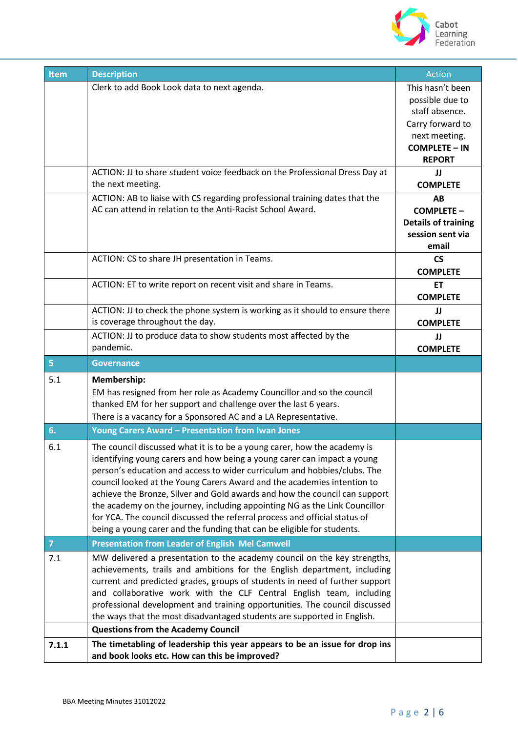

| <b>Item</b>    | <b>Description</b>                                                                                                                                                                                                                                                                                                                                                                                                                                                                                                                                                                                                             | <b>Action</b>                                                                                                                             |
|----------------|--------------------------------------------------------------------------------------------------------------------------------------------------------------------------------------------------------------------------------------------------------------------------------------------------------------------------------------------------------------------------------------------------------------------------------------------------------------------------------------------------------------------------------------------------------------------------------------------------------------------------------|-------------------------------------------------------------------------------------------------------------------------------------------|
|                | Clerk to add Book Look data to next agenda.<br>ACTION: JJ to share student voice feedback on the Professional Dress Day at                                                                                                                                                                                                                                                                                                                                                                                                                                                                                                     | This hasn't been<br>possible due to<br>staff absence.<br>Carry forward to<br>next meeting.<br><b>COMPLETE - IN</b><br><b>REPORT</b><br>IJ |
|                | the next meeting.                                                                                                                                                                                                                                                                                                                                                                                                                                                                                                                                                                                                              | <b>COMPLETE</b>                                                                                                                           |
|                | ACTION: AB to liaise with CS regarding professional training dates that the<br>AC can attend in relation to the Anti-Racist School Award.                                                                                                                                                                                                                                                                                                                                                                                                                                                                                      | AB<br><b>COMPLETE -</b><br><b>Details of training</b><br>session sent via<br>email                                                        |
|                | ACTION: CS to share JH presentation in Teams.                                                                                                                                                                                                                                                                                                                                                                                                                                                                                                                                                                                  | $\mathsf{CS}\phantom{0}$<br><b>COMPLETE</b>                                                                                               |
|                | ACTION: ET to write report on recent visit and share in Teams.                                                                                                                                                                                                                                                                                                                                                                                                                                                                                                                                                                 | <b>ET</b><br><b>COMPLETE</b>                                                                                                              |
|                | ACTION: JJ to check the phone system is working as it should to ensure there<br>is coverage throughout the day.                                                                                                                                                                                                                                                                                                                                                                                                                                                                                                                | JJ<br><b>COMPLETE</b>                                                                                                                     |
|                | ACTION: JJ to produce data to show students most affected by the<br>pandemic.                                                                                                                                                                                                                                                                                                                                                                                                                                                                                                                                                  | JJ<br><b>COMPLETE</b>                                                                                                                     |
| $\overline{5}$ | <b>Governance</b>                                                                                                                                                                                                                                                                                                                                                                                                                                                                                                                                                                                                              |                                                                                                                                           |
| 5.1            | Membership:<br>EM has resigned from her role as Academy Councillor and so the council<br>thanked EM for her support and challenge over the last 6 years.<br>There is a vacancy for a Sponsored AC and a LA Representative.                                                                                                                                                                                                                                                                                                                                                                                                     |                                                                                                                                           |
| 6.             | <b>Young Carers Award - Presentation from Iwan Jones</b>                                                                                                                                                                                                                                                                                                                                                                                                                                                                                                                                                                       |                                                                                                                                           |
| 6.1            | The council discussed what it is to be a young carer, how the academy is<br>identifying young carers and how being a young carer can impact a young<br>person's education and access to wider curriculum and hobbies/clubs. The<br>council looked at the Young Carers Award and the academies intention to<br>achieve the Bronze, Silver and Gold awards and how the council can support<br>the academy on the journey, including appointing NG as the Link Councillor<br>for YCA. The council discussed the referral process and official status of<br>being a young carer and the funding that can be eligible for students. |                                                                                                                                           |
| $\overline{7}$ | <b>Presentation from Leader of English Mel Camwell</b>                                                                                                                                                                                                                                                                                                                                                                                                                                                                                                                                                                         |                                                                                                                                           |
| 7.1            | MW delivered a presentation to the academy council on the key strengths,<br>achievements, trails and ambitions for the English department, including<br>current and predicted grades, groups of students in need of further support<br>and collaborative work with the CLF Central English team, including<br>professional development and training opportunities. The council discussed<br>the ways that the most disadvantaged students are supported in English.<br><b>Questions from the Academy Council</b>                                                                                                               |                                                                                                                                           |
|                | The timetabling of leadership this year appears to be an issue for drop ins                                                                                                                                                                                                                                                                                                                                                                                                                                                                                                                                                    |                                                                                                                                           |
| 7.1.1          | and book looks etc. How can this be improved?                                                                                                                                                                                                                                                                                                                                                                                                                                                                                                                                                                                  |                                                                                                                                           |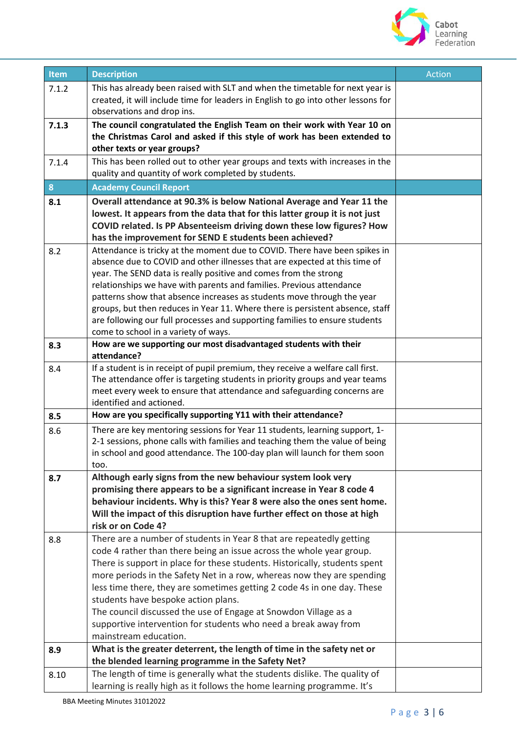

| <b>Item</b> | <b>Description</b>                                                                                                                                 | Action |
|-------------|----------------------------------------------------------------------------------------------------------------------------------------------------|--------|
| 7.1.2       | This has already been raised with SLT and when the timetable for next year is                                                                      |        |
|             | created, it will include time for leaders in English to go into other lessons for                                                                  |        |
|             | observations and drop ins.                                                                                                                         |        |
| 7.1.3       | The council congratulated the English Team on their work with Year 10 on                                                                           |        |
|             | the Christmas Carol and asked if this style of work has been extended to                                                                           |        |
|             | other texts or year groups?                                                                                                                        |        |
| 7.1.4       | This has been rolled out to other year groups and texts with increases in the<br>quality and quantity of work completed by students.               |        |
|             |                                                                                                                                                    |        |
| 8           | <b>Academy Council Report</b>                                                                                                                      |        |
| 8.1         | Overall attendance at 90.3% is below National Average and Year 11 the                                                                              |        |
|             | lowest. It appears from the data that for this latter group it is not just<br>COVID related. Is PP Absenteeism driving down these low figures? How |        |
|             | has the improvement for SEND E students been achieved?                                                                                             |        |
| 8.2         | Attendance is tricky at the moment due to COVID. There have been spikes in                                                                         |        |
|             | absence due to COVID and other illnesses that are expected at this time of                                                                         |        |
|             | year. The SEND data is really positive and comes from the strong                                                                                   |        |
|             | relationships we have with parents and families. Previous attendance                                                                               |        |
|             | patterns show that absence increases as students move through the year                                                                             |        |
|             | groups, but then reduces in Year 11. Where there is persistent absence, staff                                                                      |        |
|             | are following our full processes and supporting families to ensure students                                                                        |        |
| 8.3         | come to school in a variety of ways.<br>How are we supporting our most disadvantaged students with their                                           |        |
|             | attendance?                                                                                                                                        |        |
| 8.4         | If a student is in receipt of pupil premium, they receive a welfare call first.                                                                    |        |
|             | The attendance offer is targeting students in priority groups and year teams                                                                       |        |
|             | meet every week to ensure that attendance and safeguarding concerns are                                                                            |        |
|             | identified and actioned.                                                                                                                           |        |
| 8.5         | How are you specifically supporting Y11 with their attendance?                                                                                     |        |
| 8.6         | There are key mentoring sessions for Year 11 students, learning support, 1-                                                                        |        |
|             | 2-1 sessions, phone calls with families and teaching them the value of being                                                                       |        |
|             | in school and good attendance. The 100-day plan will launch for them soon<br>too.                                                                  |        |
| 8.7         | Although early signs from the new behaviour system look very                                                                                       |        |
|             | promising there appears to be a significant increase in Year 8 code 4                                                                              |        |
|             | behaviour incidents. Why is this? Year 8 were also the ones sent home.                                                                             |        |
|             | Will the impact of this disruption have further effect on those at high                                                                            |        |
|             | risk or on Code 4?                                                                                                                                 |        |
| 8.8         | There are a number of students in Year 8 that are repeatedly getting                                                                               |        |
|             | code 4 rather than there being an issue across the whole year group.                                                                               |        |
|             | There is support in place for these students. Historically, students spent                                                                         |        |
|             | more periods in the Safety Net in a row, whereas now they are spending                                                                             |        |
|             | less time there, they are sometimes getting 2 code 4s in one day. These<br>students have bespoke action plans.                                     |        |
|             | The council discussed the use of Engage at Snowdon Village as a                                                                                    |        |
|             | supportive intervention for students who need a break away from                                                                                    |        |
|             | mainstream education.                                                                                                                              |        |
| 8.9         | What is the greater deterrent, the length of time in the safety net or                                                                             |        |
|             | the blended learning programme in the Safety Net?                                                                                                  |        |
| 8.10        | The length of time is generally what the students dislike. The quality of                                                                          |        |
|             | learning is really high as it follows the home learning programme. It's                                                                            |        |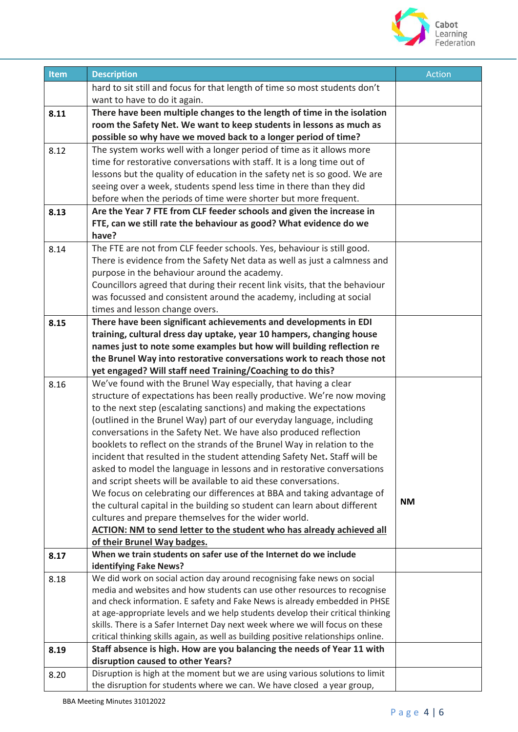

| Item | <b>Description</b>                                                                                                                                             | <b>Action</b> |
|------|----------------------------------------------------------------------------------------------------------------------------------------------------------------|---------------|
|      | hard to sit still and focus for that length of time so most students don't                                                                                     |               |
|      | want to have to do it again.                                                                                                                                   |               |
| 8.11 | There have been multiple changes to the length of time in the isolation                                                                                        |               |
|      | room the Safety Net. We want to keep students in lessons as much as                                                                                            |               |
|      | possible so why have we moved back to a longer period of time?                                                                                                 |               |
| 8.12 | The system works well with a longer period of time as it allows more                                                                                           |               |
|      | time for restorative conversations with staff. It is a long time out of                                                                                        |               |
|      | lessons but the quality of education in the safety net is so good. We are                                                                                      |               |
|      | seeing over a week, students spend less time in there than they did                                                                                            |               |
|      | before when the periods of time were shorter but more frequent.                                                                                                |               |
| 8.13 | Are the Year 7 FTE from CLF feeder schools and given the increase in                                                                                           |               |
|      | FTE, can we still rate the behaviour as good? What evidence do we                                                                                              |               |
|      | have?                                                                                                                                                          |               |
| 8.14 | The FTE are not from CLF feeder schools. Yes, behaviour is still good.                                                                                         |               |
|      | There is evidence from the Safety Net data as well as just a calmness and                                                                                      |               |
|      | purpose in the behaviour around the academy.                                                                                                                   |               |
|      | Councillors agreed that during their recent link visits, that the behaviour                                                                                    |               |
|      | was focussed and consistent around the academy, including at social                                                                                            |               |
|      | times and lesson change overs.                                                                                                                                 |               |
| 8.15 | There have been significant achievements and developments in EDI                                                                                               |               |
|      | training, cultural dress day uptake, year 10 hampers, changing house                                                                                           |               |
|      | names just to note some examples but how will building reflection re                                                                                           |               |
|      | the Brunel Way into restorative conversations work to reach those not                                                                                          |               |
|      | yet engaged? Will staff need Training/Coaching to do this?                                                                                                     |               |
| 8.16 | We've found with the Brunel Way especially, that having a clear<br>structure of expectations has been really productive. We're now moving                      |               |
|      | to the next step (escalating sanctions) and making the expectations                                                                                            |               |
|      | (outlined in the Brunel Way) part of our everyday language, including                                                                                          |               |
|      | conversations in the Safety Net. We have also produced reflection                                                                                              |               |
|      | booklets to reflect on the strands of the Brunel Way in relation to the                                                                                        |               |
|      | incident that resulted in the student attending Safety Net. Staff will be                                                                                      |               |
|      | asked to model the language in lessons and in restorative conversations                                                                                        |               |
|      | and script sheets will be available to aid these conversations.                                                                                                |               |
|      | We focus on celebrating our differences at BBA and taking advantage of                                                                                         |               |
|      | the cultural capital in the building so student can learn about different                                                                                      | <b>NM</b>     |
|      | cultures and prepare themselves for the wider world.                                                                                                           |               |
|      | ACTION: NM to send letter to the student who has already achieved all                                                                                          |               |
|      | of their Brunel Way badges.                                                                                                                                    |               |
| 8.17 | When we train students on safer use of the Internet do we include                                                                                              |               |
|      | identifying Fake News?                                                                                                                                         |               |
| 8.18 | We did work on social action day around recognising fake news on social                                                                                        |               |
|      | media and websites and how students can use other resources to recognise                                                                                       |               |
|      | and check information. E safety and Fake News is already embedded in PHSE                                                                                      |               |
|      | at age-appropriate levels and we help students develop their critical thinking<br>skills. There is a Safer Internet Day next week where we will focus on these |               |
|      | critical thinking skills again, as well as building positive relationships online.                                                                             |               |
| 8.19 | Staff absence is high. How are you balancing the needs of Year 11 with                                                                                         |               |
|      | disruption caused to other Years?                                                                                                                              |               |
| 8.20 | Disruption is high at the moment but we are using various solutions to limit                                                                                   |               |
|      | the disruption for students where we can. We have closed a year group,                                                                                         |               |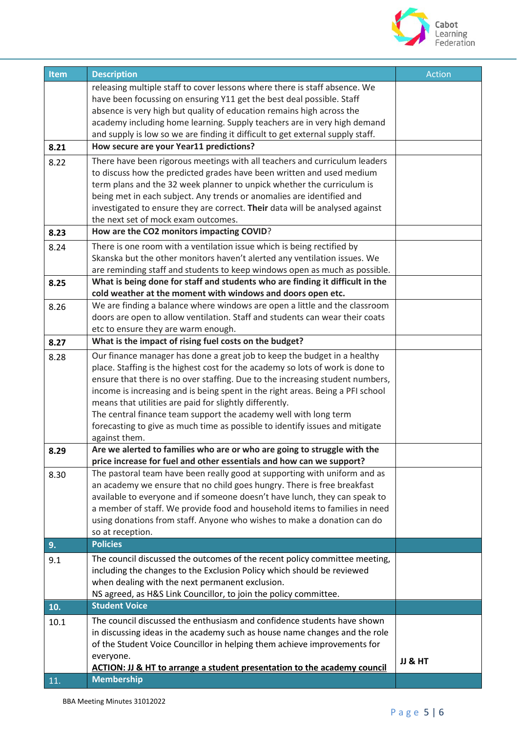

| Item | <b>Description</b>                                                                                                                                    | Action  |
|------|-------------------------------------------------------------------------------------------------------------------------------------------------------|---------|
|      | releasing multiple staff to cover lessons where there is staff absence. We                                                                            |         |
|      | have been focussing on ensuring Y11 get the best deal possible. Staff                                                                                 |         |
|      | absence is very high but quality of education remains high across the                                                                                 |         |
|      | academy including home learning. Supply teachers are in very high demand                                                                              |         |
|      | and supply is low so we are finding it difficult to get external supply staff.                                                                        |         |
| 8.21 | How secure are your Year11 predictions?                                                                                                               |         |
| 8.22 | There have been rigorous meetings with all teachers and curriculum leaders                                                                            |         |
|      | to discuss how the predicted grades have been written and used medium                                                                                 |         |
|      | term plans and the 32 week planner to unpick whether the curriculum is                                                                                |         |
|      | being met in each subject. Any trends or anomalies are identified and<br>investigated to ensure they are correct. Their data will be analysed against |         |
|      | the next set of mock exam outcomes.                                                                                                                   |         |
| 8.23 | How are the CO2 monitors impacting COVID?                                                                                                             |         |
| 8.24 | There is one room with a ventilation issue which is being rectified by                                                                                |         |
|      | Skanska but the other monitors haven't alerted any ventilation issues. We                                                                             |         |
|      | are reminding staff and students to keep windows open as much as possible.                                                                            |         |
| 8.25 | What is being done for staff and students who are finding it difficult in the                                                                         |         |
|      | cold weather at the moment with windows and doors open etc.                                                                                           |         |
| 8.26 | We are finding a balance where windows are open a little and the classroom                                                                            |         |
|      | doors are open to allow ventilation. Staff and students can wear their coats                                                                          |         |
|      | etc to ensure they are warm enough.                                                                                                                   |         |
| 8.27 | What is the impact of rising fuel costs on the budget?                                                                                                |         |
| 8.28 | Our finance manager has done a great job to keep the budget in a healthy                                                                              |         |
|      | place. Staffing is the highest cost for the academy so lots of work is done to                                                                        |         |
|      | ensure that there is no over staffing. Due to the increasing student numbers,                                                                         |         |
|      | income is increasing and is being spent in the right areas. Being a PFI school                                                                        |         |
|      | means that utilities are paid for slightly differently.                                                                                               |         |
|      | The central finance team support the academy well with long term<br>forecasting to give as much time as possible to identify issues and mitigate      |         |
|      | against them.                                                                                                                                         |         |
| 8.29 | Are we alerted to families who are or who are going to struggle with the                                                                              |         |
|      | price increase for fuel and other essentials and how can we support?                                                                                  |         |
| 8.30 | The pastoral team have been really good at supporting with uniform and as                                                                             |         |
|      | an academy we ensure that no child goes hungry. There is free breakfast                                                                               |         |
|      | available to everyone and if someone doesn't have lunch, they can speak to                                                                            |         |
|      | a member of staff. We provide food and household items to families in need                                                                            |         |
|      | using donations from staff. Anyone who wishes to make a donation can do                                                                               |         |
|      | so at reception.                                                                                                                                      |         |
| 9.   | <b>Policies</b>                                                                                                                                       |         |
| 9.1  | The council discussed the outcomes of the recent policy committee meeting,                                                                            |         |
|      | including the changes to the Exclusion Policy which should be reviewed                                                                                |         |
|      | when dealing with the next permanent exclusion.<br>NS agreed, as H&S Link Councillor, to join the policy committee.                                   |         |
| 10.  | <b>Student Voice</b>                                                                                                                                  |         |
| 10.1 | The council discussed the enthusiasm and confidence students have shown                                                                               |         |
|      | in discussing ideas in the academy such as house name changes and the role                                                                            |         |
|      | of the Student Voice Councillor in helping them achieve improvements for                                                                              |         |
|      | everyone.                                                                                                                                             | JJ & HT |
|      | ACTION: JJ & HT to arrange a student presentation to the academy council                                                                              |         |
| 11.  | <b>Membership</b>                                                                                                                                     |         |